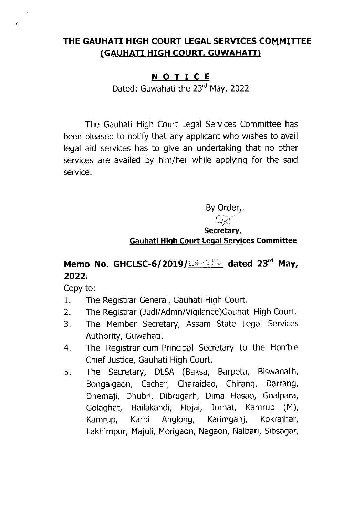## THE GAUHATI HIGH COURT LEGAL SERVICES COMMITTEE (GAUHATI HIGH COURT, GUWAHATI)

## NOTICE

Dated: Guwahati the 23rd May, 2022

The Gauhati High Court Legal Services Commlttee has been pleased to notify that any applicant who wishes to avail legal aid services has to give an undertaking that no other services are availed by him/her while applying for the said service.

By Order<sub> $\nu$ </sub>.

 $\leftrightarrow$ Secretarv,

Gauhati Hi h Court Leqal Services Committee

## Memo No. GHCLSC-6/2019/338-336 dated 23<sup>rd</sup> May, 2022.

Copy to:

 $\hat{\mathbf{v}}$ 

 $\mathbf{c}$ 

- 1. The Registrar General, Gauhati High Court.
- 2. The Registrar (Judl/Admn/Vigilance)Gauhati High Court.
- 3. The Member Secretary, Assam State Legal Services Authority, Guwahati.
- 4. The Registrar-cum-Principal Secretary to the Hon'ble Chief Justice, Gauhati High Court.
- 5. The Secretary, DLSA (Baksa, Barpeta, Biswanath, Bongaigaon, Cachar, Charaideo, Chirang, Darrang, Dhemajl, Dhubri, Dibrugarh, Dima Hasao, Goalpara, Golaghat, Hailakandi, Hojai, Jorhat, Kamrup (M), Kamrup, Karbi Anglong, Karimganj, Kokrajhar, Lakhimpur, Majuli, Morigaon, Nagaon, Nalbari, Sibsagar,